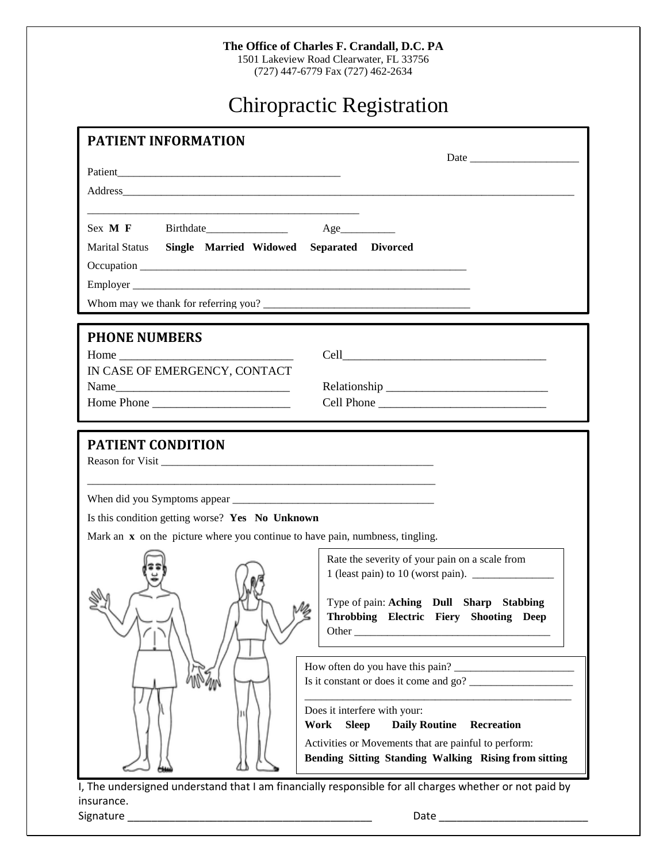#### **The Office of Charles F. Crandall, D.C. PA**

1501 Lakeview Road Clearwater, FL 33756 (727) 447-6779 Fax (727) 462-2634

# Chiropractic Registration

| Marital Status Single Married Widowed Separated Divorced<br>Whom may we thank for referring you?<br><b>PHONE NUMBERS</b><br>Home and the state of the state of the state of the state of the state of the state of the state of the state of the state of the state of the state of the state of the state of the state of the state of the state of the s<br>IN CASE OF EMERGENCY, CONTACT<br>Home Phone<br><b>PATIENT CONDITION</b><br>Reason for Visit<br>Is this condition getting worse? Yes No Unknown<br>Mark an $x$ on the picture where you continue to have pain, numbness, tingling.<br>Rate the severity of your pain on a scale from<br>Type of pain: Aching Dull Sharp Stabbing<br>Throbbing Electric Fiery Shooting Deep |                   |
|-----------------------------------------------------------------------------------------------------------------------------------------------------------------------------------------------------------------------------------------------------------------------------------------------------------------------------------------------------------------------------------------------------------------------------------------------------------------------------------------------------------------------------------------------------------------------------------------------------------------------------------------------------------------------------------------------------------------------------------------|-------------------|
|                                                                                                                                                                                                                                                                                                                                                                                                                                                                                                                                                                                                                                                                                                                                         |                   |
|                                                                                                                                                                                                                                                                                                                                                                                                                                                                                                                                                                                                                                                                                                                                         |                   |
|                                                                                                                                                                                                                                                                                                                                                                                                                                                                                                                                                                                                                                                                                                                                         |                   |
|                                                                                                                                                                                                                                                                                                                                                                                                                                                                                                                                                                                                                                                                                                                                         |                   |
|                                                                                                                                                                                                                                                                                                                                                                                                                                                                                                                                                                                                                                                                                                                                         |                   |
|                                                                                                                                                                                                                                                                                                                                                                                                                                                                                                                                                                                                                                                                                                                                         |                   |
|                                                                                                                                                                                                                                                                                                                                                                                                                                                                                                                                                                                                                                                                                                                                         |                   |
|                                                                                                                                                                                                                                                                                                                                                                                                                                                                                                                                                                                                                                                                                                                                         |                   |
|                                                                                                                                                                                                                                                                                                                                                                                                                                                                                                                                                                                                                                                                                                                                         |                   |
|                                                                                                                                                                                                                                                                                                                                                                                                                                                                                                                                                                                                                                                                                                                                         |                   |
|                                                                                                                                                                                                                                                                                                                                                                                                                                                                                                                                                                                                                                                                                                                                         |                   |
|                                                                                                                                                                                                                                                                                                                                                                                                                                                                                                                                                                                                                                                                                                                                         |                   |
|                                                                                                                                                                                                                                                                                                                                                                                                                                                                                                                                                                                                                                                                                                                                         |                   |
|                                                                                                                                                                                                                                                                                                                                                                                                                                                                                                                                                                                                                                                                                                                                         |                   |
|                                                                                                                                                                                                                                                                                                                                                                                                                                                                                                                                                                                                                                                                                                                                         |                   |
| Does it interfere with your:<br><b>Sleep</b><br><b>Daily Routine</b><br>Work<br>Activities or Movements that are painful to perform:<br>Bending Sitting Standing Walking Rising from sitting                                                                                                                                                                                                                                                                                                                                                                                                                                                                                                                                            | <b>Recreation</b> |
| I, The undersigned understand that I am financially responsible for all charges whether or not paid by                                                                                                                                                                                                                                                                                                                                                                                                                                                                                                                                                                                                                                  |                   |

Signature \_\_\_\_\_\_\_\_\_\_\_\_\_\_\_\_\_\_\_\_\_\_\_\_\_\_\_\_\_\_\_\_\_\_\_\_\_\_\_\_\_ Date \_\_\_\_\_\_\_\_\_\_\_\_\_\_\_\_\_\_\_\_\_\_\_\_\_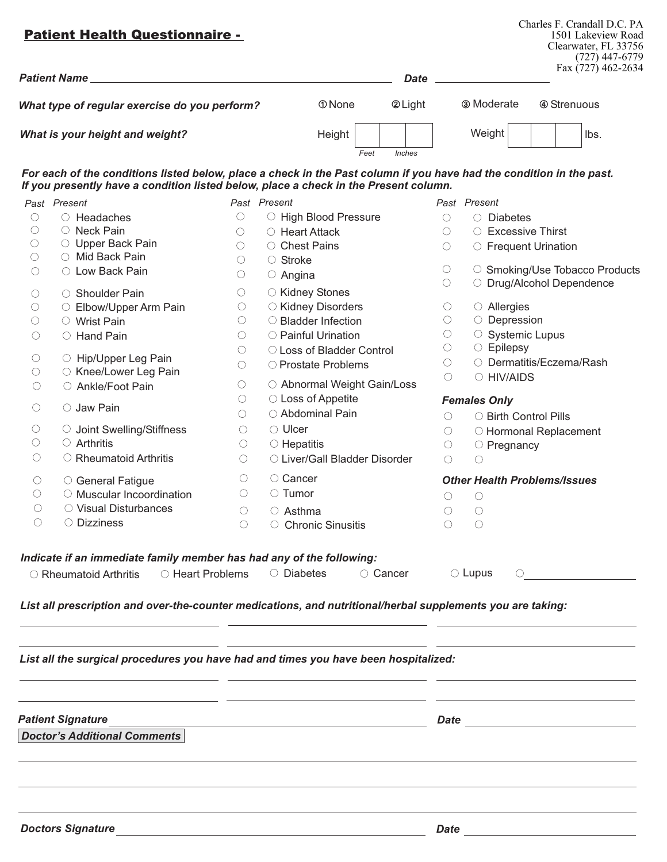|                                               | <b>Patient Health Questionnaire -</b>                                                                                                                                                                        |                     |                               |                |                                                 | Charles F. Crandall D.C. PA<br>1501 Lakeview Road<br>Clearwater, FL 33756<br>$(727)$ 447-6779<br>Fax (727) 462-2634 |
|-----------------------------------------------|--------------------------------------------------------------------------------------------------------------------------------------------------------------------------------------------------------------|---------------------|-------------------------------|----------------|-------------------------------------------------|---------------------------------------------------------------------------------------------------------------------|
|                                               | <b>Patient Name</b>                                                                                                                                                                                          |                     |                               | <b>Date</b>    |                                                 |                                                                                                                     |
| What type of regular exercise do you perform? |                                                                                                                                                                                                              |                     | <b>1</b> None                 | <b>2</b> Light | <b>3</b> Moderate                               | 4 Strenuous                                                                                                         |
|                                               | What is your height and weight?                                                                                                                                                                              |                     | Height<br>Feet                | Inches         | Weight                                          | lbs.                                                                                                                |
|                                               | For each of the conditions listed below, place a check in the Past column if you have had the condition in the past.<br>If you presently have a condition listed below, place a check in the Present column. |                     |                               |                |                                                 |                                                                                                                     |
|                                               | Past Present                                                                                                                                                                                                 |                     | Past Present                  |                | Past Present                                    |                                                                                                                     |
| $\circ$                                       | $\circ$ Headaches                                                                                                                                                                                            | $\circlearrowright$ | O High Blood Pressure         | $\circ$        | $\circ$ Diabetes                                |                                                                                                                     |
| $\bigcirc$                                    | $\circ$ Neck Pain                                                                                                                                                                                            | O                   | $\circ$ Heart Attack          | 0              | ○ Excessive Thirst                              |                                                                                                                     |
| $\bigcirc$                                    | ○ Upper Back Pain                                                                                                                                                                                            | $\bigcirc$          | ○ Chest Pains                 | Ο.             | ○ Frequent Urination                            |                                                                                                                     |
| $\bigcirc$                                    | O Mid Back Pain                                                                                                                                                                                              | O                   | $\circ$ Stroke                |                |                                                 |                                                                                                                     |
| $\bigcirc$                                    | ○ Low Back Pain                                                                                                                                                                                              | О                   | $\circ$ Angina                | $\circ$        |                                                 | ○ Smoking/Use Tobacco Products                                                                                      |
|                                               | ○ Shoulder Pain                                                                                                                                                                                              | О                   | ○ Kidney Stones               | $\circ$        |                                                 | O Drug/Alcohol Dependence                                                                                           |
| $\bigcirc$<br>$\bigcirc$                      | ○ Elbow/Upper Arm Pain                                                                                                                                                                                       | $\bigcirc$          | ○ Kidney Disorders            | $\bigcirc$     | ○ Allergies                                     |                                                                                                                     |
| $\bigcirc$                                    | $\circ$ Wrist Pain                                                                                                                                                                                           | $\bigcirc$          | ○ Bladder Infection           | $\bigcirc$     | $\circ$ Depression                              |                                                                                                                     |
| O                                             | $\circ$ Hand Pain                                                                                                                                                                                            | O                   | ○ Painful Urination           | O              | $\circ$ Systemic Lupus                          |                                                                                                                     |
|                                               |                                                                                                                                                                                                              | O                   | ○ Loss of Bladder Control     | O              | $\circ$ Epilepsy                                |                                                                                                                     |
| O                                             | ○ Hip/Upper Leg Pain                                                                                                                                                                                         |                     |                               | $\bigcirc$     |                                                 | O Dermatitis/Eczema/Rash                                                                                            |
| $\bigcirc$                                    | ○ Knee/Lower Leg Pain                                                                                                                                                                                        | O                   | O Prostate Problems           | $\bigcirc$     | O HIV/AIDS                                      |                                                                                                                     |
| O                                             | ○ Ankle/Foot Pain                                                                                                                                                                                            | O                   | ○ Abnormal Weight Gain/Loss   |                |                                                 |                                                                                                                     |
|                                               |                                                                                                                                                                                                              | $\bigcirc$          | ○ Loss of Appetite            |                | <b>Females Only</b>                             |                                                                                                                     |
| O                                             | $\circlearrowright$ Jaw Pain                                                                                                                                                                                 | O                   | ○ Abdominal Pain              | O              | ○ Birth Control Pills                           |                                                                                                                     |
| О                                             | O Joint Swelling/Stiffness                                                                                                                                                                                   | $\circlearrowright$ | ○ Ulcer                       | $\bigcirc$     |                                                 | O Hormonal Replacement                                                                                              |
| O                                             | $\circ$ Arthritis                                                                                                                                                                                            | $\bigcirc$          | $\circ$ Hepatitis             | $\bigcirc$     | $\circ$ Pregnancy                               |                                                                                                                     |
| O                                             | $\circ$ Rheumatoid Arthritis                                                                                                                                                                                 | О                   | ○ Liver/Gall Bladder Disorder | O              | $\circlearrowright$                             |                                                                                                                     |
| $\circlearrowright$                           | ○ General Fatigue                                                                                                                                                                                            | О                   | ○ Cancer                      |                | <b>Other Health Problems/Issues</b>             |                                                                                                                     |
| $\bigcirc$                                    | $\circ$ Muscular Incoordination                                                                                                                                                                              | $\bigcirc$          | $\circ$ Tumor                 | $\bigcirc$     | $\bigcirc$                                      |                                                                                                                     |
| O                                             | ○ Visual Disturbances                                                                                                                                                                                        | O                   | $\circ$ Asthma                | O              | O                                               |                                                                                                                     |
| C                                             | ○ Dizziness                                                                                                                                                                                                  |                     | <b>Chronic Sinusitis</b>      |                | $\left( \begin{array}{c} 1 \end{array} \right)$ |                                                                                                                     |
|                                               | Indicate if an immediate family member has had any of the following:                                                                                                                                         |                     |                               |                |                                                 |                                                                                                                     |
|                                               | ○ Heart Problems<br>$\bigcirc$ Rheumatoid Arthritis                                                                                                                                                          |                     | $\circ$ Diabetes<br>○ Cancer  |                | $\circ$ Lupus<br>Ő                              |                                                                                                                     |
|                                               | List all prescription and over-the-counter medications, and nutritional/herbal supplements you are taking:                                                                                                   |                     |                               |                |                                                 |                                                                                                                     |
|                                               | List all the surgical procedures you have had and times you have been hospitalized:                                                                                                                          |                     |                               |                |                                                 |                                                                                                                     |
|                                               |                                                                                                                                                                                                              |                     |                               |                |                                                 |                                                                                                                     |

<u> 1989 - Johann Stoff, deutscher Stoffen und der Stoffen und der Stoffen und der Stoffen und der Stoffen und der</u>

*Patient Signature Date*

*Doctor's Additional Comments*

<u> 1989 - Johann Stoff, fransk politik (d. 1989)</u>